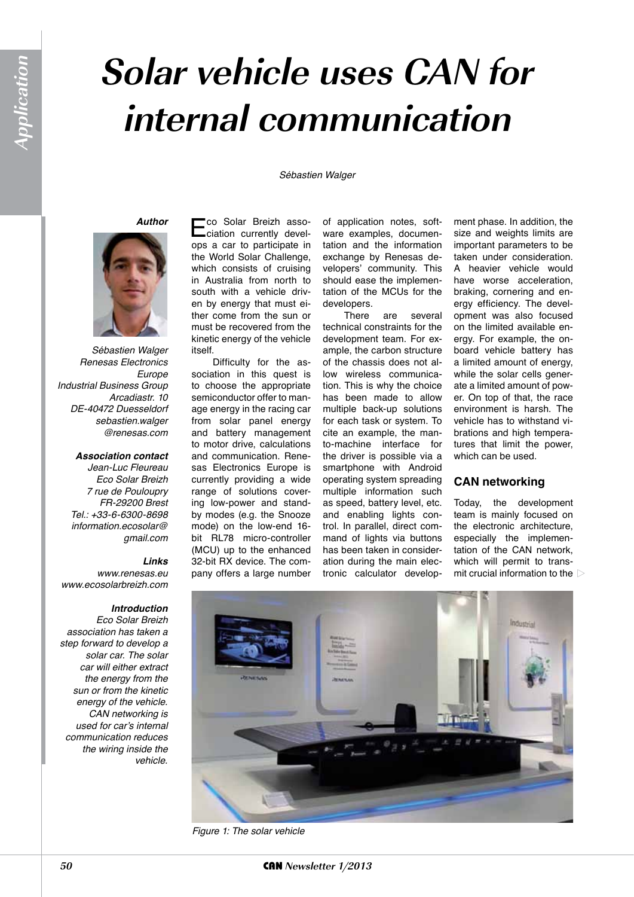# **Solar vehicle uses CAN for internal communication**

#### *Sébastien Walger*

*Author*



*Sébastien Walger Renesas Electronics Europe Industrial Business Group Arcadiastr. 10 DE-40472 Duesseldorf sebastien.walger @renesas.com*

#### *Association contact*

*Jean-Luc Fleureau Eco Solar Breizh 7 rue de Pouloupry FR-29200 Brest Tel.: +33-6-6300-8698 information.ecosolar@ gmail.com*

#### *Links*

*www.renesas.eu www.ecosolarbreizh.com*

#### *Introduction*

*Eco Solar Breizh association has taken a step forward to develop a solar car. The solar car will either extract the energy from the sun or from the kinetic energy of the vehicle. CAN networking is*  used for car's internal *communication reduces the wiring inside the vehicle.*

Eco Solar Breizh asso-ciation currently develops a car to participate in the World Solar Challenge, which consists of cruising in Australia from north to south with a vehicle driven by energy that must either come from the sun or must be recovered from the kinetic energy of the vehicle itself.

Difficulty for the association in this quest is to choose the appropriate semiconductor offer to manage energy in the racing car from solar panel energy and battery management to motor drive, calculations and communication. Renesas Electronics Europe is currently providing a wide range of solutions covering low-power and standby modes (e.g. the Snooze mode) on the low-end 16 bit RL78 micro-controller (MCU) up to the enhanced 32-bit RX device. The company offers a large number

of application notes, software examples, documentation and the information exchange by Renesas developers' community. This should ease the implementation of the MCUs for the developers.<br>There

are several technical constraints for the development team. For example, the carbon structure of the chassis does not allow wireless communication. This is why the choice has been made to allow multiple back-up solutions for each task or system. To cite an example, the manto-machine interface for the driver is possible via a smartphone with Android operating system spreading multiple information such as speed, battery level, etc. and enabling lights control. In parallel, direct command of lights via buttons has been taken in consideration during the main electronic calculator development phase. In addition, the size and weights limits are important parameters to be taken under consideration. A heavier vehicle would have worse acceleration, braking, cornering and energy efficiency. The development was also focused on the limited available energy. For example, the onboard vehicle battery has a limited amount of energy, while the solar cells generate a limited amount of power. On top of that, the race environment is harsh. The vehicle has to withstand vibrations and high temperatures that limit the power, which can be used.

## **CAN networking**

Today, the development team is mainly focused on the electronic architecture, especially the implementation of the CAN network, which will permit to transmit crucial information to the



*Figure 1: The solar vehicle*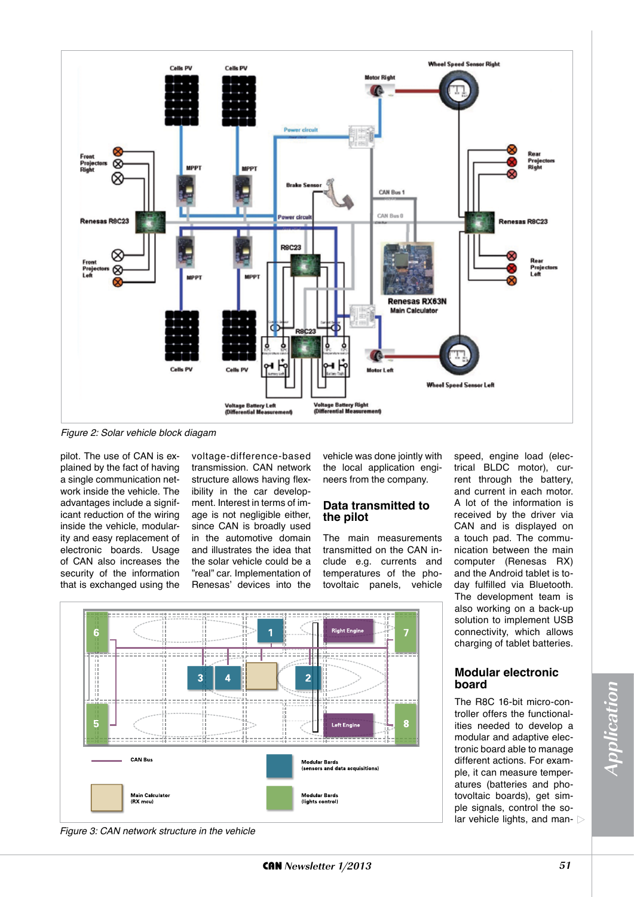

*Figure 2: Solar vehicle block diagam*

pilot. The use of CAN is explained by the fact of having a single communication network inside the vehicle. The advantages include a significant reduction of the wiring inside the vehicle, modularity and easy replacement of electronic boards. Usage of CAN also increases the security of the information that is exchanged using the voltage-difference-based transmission. CAN network structure allows having flexibility in the car development. Interest in terms of image is not negligible either, since CAN is broadly used in the automotive domain and illustrates the idea that the solar vehicle could be a "real" car. Implementation of Renesas' devices into the

vehicle was done jointly with the local application engineers from the company.

## **Data transmitted to the pilot**

The main measurements transmitted on the CAN include e.g. currents and temperatures of the photovoltaic panels, vehicle



trical BLDC motor), current through the battery, and current in each motor. A lot of the information is received by the driver via CAN and is displayed on a touch pad. The communication between the main computer (Renesas RX) and the Android tablet is today fulfilled via Bluetooth. The development team is also working on a back-up solution to implement USB connectivity, which allows charging of tablet batteries.

speed, engine load (elec-

## **Modular electronic board**

The R8C 16-bit micro-controller offers the functionalities needed to develop a modular and adaptive electronic board able to manage different actions. For example, it can measure temperatures (batteries and photovoltaic boards), get simple signals, control the solar vehicle lights, and man-

*Figure 3: CAN network structure in the vehicle*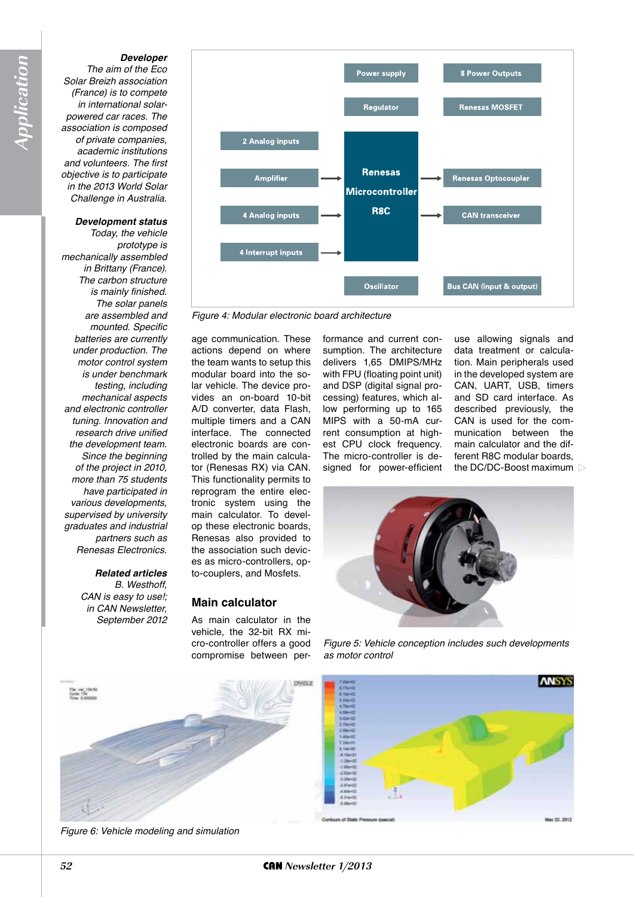#### *Developer*

*The aim of the Eco Solar Breizh association (France) is to compete in international solarpowered car races. The association is composed of private companies, academic institutions and volunteers. The first objective is to participate in the 2013 World Solar Challenge in Australia.*

### *Development status*

*Today, the vehicle prototype is mechanically assembled in Brittany (France). The carbon structure is mainly finished. The solar panels are assembled and mounted. Specific batteries are currently under production. The motor control system is under benchmark testing, including mechanical aspects and electronic controller tuning. Innovation and research drive unified the development team. Since the beginning of the project in 2010, more than 75 students have participated in various developments, supervised by university graduates and industrial partners such as Renesas Electronics.*

> *Related articles B. Westhoff, CAN is easy to use!; in CAN Newsletter, September 2012*



*Figure 4: Modular electronic board architecture*

age communication. These actions depend on where the team wants to setup this modular board into the solar vehicle. The device provides an on-board 10-bit A/D converter, data Flash, multiple timers and a CAN interface. The connected electronic boards are controlled by the main calculator (Renesas RX) via CAN. This functionality permits to reprogram the entire electronic system using the main calculator. To develop these electronic boards, Renesas also provided to the association such devices as micro-controllers, opto-couplers, and Mosfets.

## **Main calculator**

As main calculator in the vehicle, the 32-bit RX micro-controller offers a good compromise between performance and current consumption. The architecture delivers 1,65 DMIPS/MHz with FPU (floating point unit) and DSP (digital signal processing) features, which allow performing up to 165 MIPS with a 50-mA current consumption at highest CPU clock frequency. The micro-controller is designed for power-efficient use allowing signals and data treatment or calculation. Main peripherals used in the developed system are CAN, UART, USB, timers and SD card interface. As described previously, the CAN is used for the communication between the main calculator and the different R8C modular boards, the DC/DC-Boost maximum



*Figure 5: Vehicle conception includes such developments as motor control*





*Figure 6: Vehicle modeling and simulation*